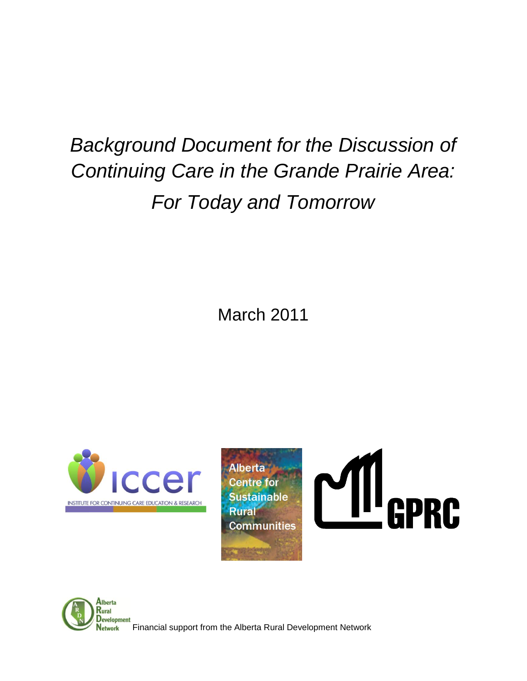# *Background Document for the Discussion of Continuing Care in the Grande Prairie Area: For Today and Tomorrow*

March 2011









Financial support from the Alberta Rural Development Network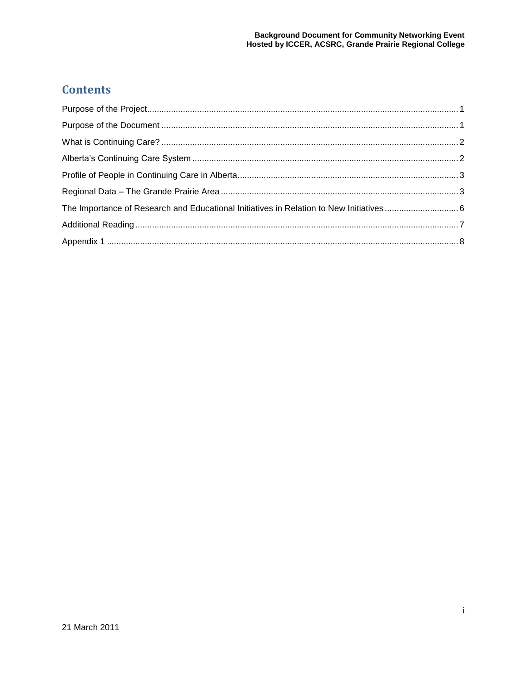## **Contents**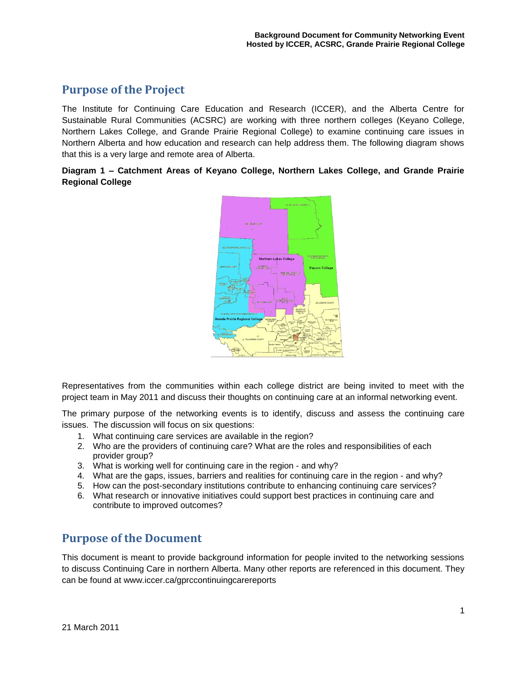#### <span id="page-2-0"></span>**Purpose of the Project**

The Institute for Continuing Care Education and Research (ICCER), and the Alberta Centre for Sustainable Rural Communities (ACSRC) are working with three northern colleges (Keyano College, Northern Lakes College, and Grande Prairie Regional College) to examine continuing care issues in Northern Alberta and how education and research can help address them. The following diagram shows that this is a very large and remote area of Alberta.

#### **Diagram 1 – Catchment Areas of Keyano College, Northern Lakes College, and Grande Prairie Regional College**



Representatives from the communities within each college district are being invited to meet with the project team in May 2011 and discuss their thoughts on continuing care at an informal networking event.

The primary purpose of the networking events is to identify, discuss and assess the continuing care issues. The discussion will focus on six questions:

- 1. What continuing care services are available in the region?
- 2. Who are the providers of continuing care? What are the roles and responsibilities of each provider group?
- 3. What is working well for continuing care in the region and why?
- 4. What are the gaps, issues, barriers and realities for continuing care in the region and why?
- 5. How can the post-secondary institutions contribute to enhancing continuing care services?
- 6. What research or innovative initiatives could support best practices in continuing care and contribute to improved outcomes?

#### <span id="page-2-1"></span>**Purpose of the Document**

This document is meant to provide background information for people invited to the networking sessions to discuss Continuing Care in northern Alberta. Many other reports are referenced in this document. They can be found at [www.iccer.ca/gprccontinuingcarereports](http://www.iccer.ca/gprccontinuingcarereports)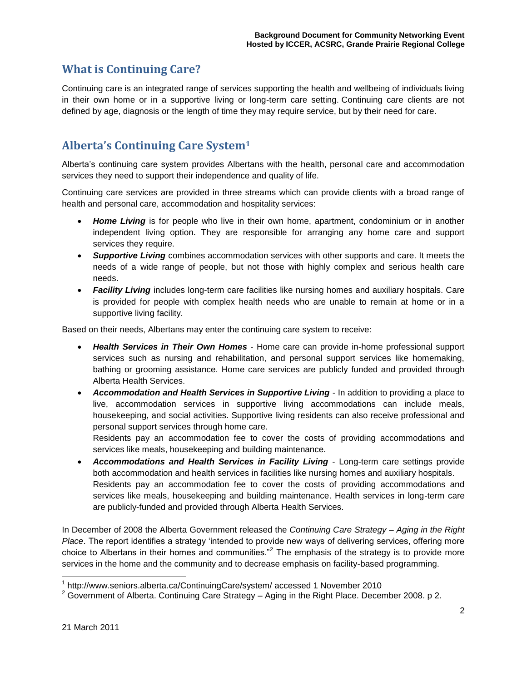#### <span id="page-3-0"></span>**What is Continuing Care?**

Continuing care is an integrated range of services supporting the health and wellbeing of individuals living in their own home or in a supportive living or long-term care setting. Continuing care clients are not defined by age, diagnosis or the length of time they may require service, but by their need for care.

#### <span id="page-3-1"></span>**Alberta's Continuing Care System<sup>1</sup>**

Alberta"s continuing care system provides Albertans with the health, personal care and accommodation services they need to support their independence and quality of life.

Continuing care services are provided in three streams which can provide clients with a broad range of health and personal care, accommodation and hospitality services:

- *[Home Living](http://www.seniors.alberta.ca/ContinuingCare/system/#homecare)* is for people who live in their own home, apartment, condominium or in another independent living option. They are responsible for arranging any home care and support services they require.
- *[Supportive Living](http://www.seniors.alberta.ca/ContinuingCare/system/#accommodation)* combines accommodation services with other supports and care. It meets the needs of a wide range of people, but not those with highly complex and serious health care needs.
- *[Facility Living](http://www.seniors.alberta.ca/ContinuingCare/system/#healthservices)* includes long-term care facilities like nursing homes and auxiliary hospitals. Care is provided for people with complex health needs who are unable to remain at home or in a supportive living facility.

Based on their needs, Albertans may enter the continuing care system to receive:

- *Health Services in Their Own Homes* Home care can provide in-home professional support services such as nursing and rehabilitation, and personal support services like homemaking, bathing or grooming assistance. Home care services are publicly funded and provided through Alberta Health Services.
- *Accommodation and Health Services in Supportive Living* In addition to providing a place to live, accommodation services in supportive living accommodations can include meals, housekeeping, and social activities. Supportive living residents can also receive professional and personal support services through home care.

Residents pay an accommodation fee to cover the costs of providing accommodations and services like meals, housekeeping and building maintenance.

 *Accommodations and Health Services in Facility Living* - Long-term care settings provide both accommodation and health services in facilities like nursing homes and auxiliary hospitals. Residents pay an [accommodation fee](http://www.seniors.alberta.ca/ContinuingCare/LTCare.asp) to cover the costs of providing accommodations and services like meals, housekeeping and building maintenance. Health services in long-term care are publicly-funded and provided through Alberta Health Services.

In December of 2008 the Alberta Government released the *Continuing Care Strategy – Aging in the Right Place*. The report identifies a strategy "intended to provide new ways of delivering services, offering more choice to Albertans in their homes and communities."<sup>2</sup> The emphasis of the strategy is to provide more services in the home and the community and to decrease emphasis on facility-based programming.

 1 http://www.seniors.alberta.ca/ContinuingCare/system/ accessed 1 November 2010

 $2$  Government of Alberta. Continuing Care Strategy – Aging in the Right Place. December 2008. p 2.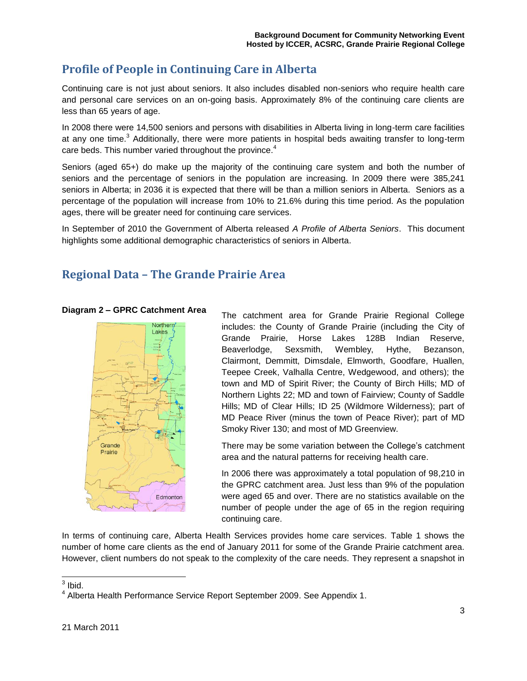### <span id="page-4-0"></span>**Profile of People in Continuing Care in Alberta**

Continuing care is not just about seniors. It also includes disabled non-seniors who require health care and personal care services on an on-going basis. Approximately 8% of the continuing care clients are less than 65 years of age.

In 2008 there were 14,500 seniors and persons with disabilities in Alberta living in long-term care facilities at any one time.<sup>3</sup> Additionally, there were more patients in hospital beds awaiting transfer to long-term care beds. This number varied throughout the province.<sup>4</sup>

Seniors (aged 65+) do make up the majority of the continuing care system and both the number of seniors and the percentage of seniors in the population are increasing. In 2009 there were 385,241 seniors in Alberta; in 2036 it is expected that there will be than a million seniors in Alberta. Seniors as a percentage of the population will increase from 10% to 21.6% during this time period. As the population ages, there will be greater need for continuing care services.

In September of 2010 the Government of Alberta released *A Profile of Alberta Seniors*. This document highlights some additional demographic characteristics of seniors in Alberta.

#### <span id="page-4-1"></span>**Regional Data – The Grande Prairie Area**

#### **Diagram 2 – GPRC Catchment Area**



The catchment area for Grande Prairie Regional College includes: the County of Grande Prairie (including the City of Grande Prairie, Horse Lakes 128B Indian Reserve, Beaverlodge, Sexsmith, Wembley, Hythe, Bezanson, Clairmont, Demmitt, Dimsdale, Elmworth, Goodfare, Huallen, Teepee Creek, Valhalla Centre, Wedgewood, and others); the town and MD of Spirit River; the County of Birch Hills; MD of Northern Lights 22; MD and town of Fairview; County of Saddle Hills; MD of Clear Hills; ID 25 (Wildmore Wilderness); part of MD Peace River (minus the town of Peace River); part of MD Smoky River 130; and most of MD Greenview.

There may be some variation between the College"s catchment area and the natural patterns for receiving health care.

In 2006 there was approximately a total population of 98,210 in the GPRC catchment area. Just less than 9% of the population were aged 65 and over. There are no statistics available on the number of people under the age of 65 in the region requiring continuing care.

In terms of continuing care, Alberta Health Services provides home care services. Table 1 shows the number of home care clients as the end of January 2011 for some of the Grande Prairie catchment area. However, client numbers do not speak to the complexity of the care needs. They represent a snapshot in

 $\frac{1}{3}$  Ibid.

<sup>&</sup>lt;sup>4</sup> Alberta Health Performance Service Report September 2009. See Appendix 1.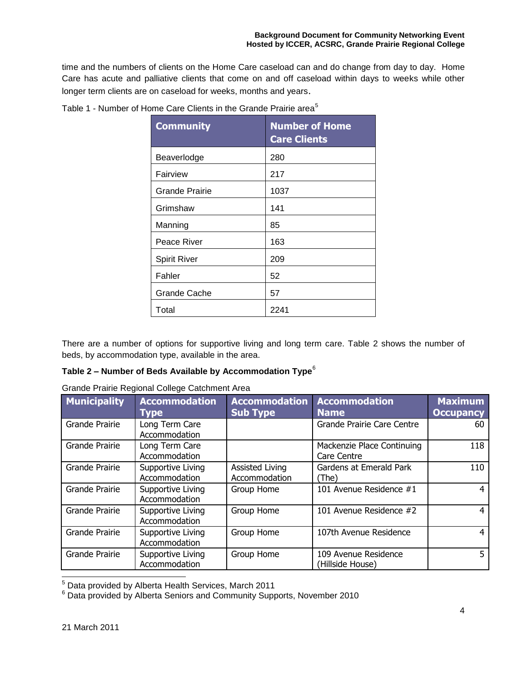time and the numbers of clients on the Home Care caseload can and do change from day to day. Home Care has acute and palliative clients that come on and off caseload within days to weeks while other longer term clients are on caseload for weeks, months and years.

| <b>Community</b>    | <b>Number of Home</b><br><b>Care Clients</b> |  |  |
|---------------------|----------------------------------------------|--|--|
| Beaverlodge         | 280                                          |  |  |
| Fairview            | 217                                          |  |  |
| Grande Prairie      | 1037                                         |  |  |
| Grimshaw            | 141                                          |  |  |
| Manning             | 85                                           |  |  |
| Peace River         | 163                                          |  |  |
| <b>Spirit River</b> | 209                                          |  |  |
| Fahler              | 52                                           |  |  |
| <b>Grande Cache</b> | 57                                           |  |  |
| Total               | 2241                                         |  |  |

Table 1 - Number of Home Care Clients in the Grande Prairie area<sup>5</sup>

There are a number of options for supportive living and long term care. Table 2 shows the number of beds, by accommodation type, available in the area.

#### **Table 2 – Number of Beds Available by Accommodation Type**<sup>6</sup>

| <b>Municipality</b> | <b>Accommodation</b><br><b>Type</b> | <b>Accommodation</b><br><b>Sub Type</b> | <b>Accommodation</b><br><b>Name</b>       | <b>Maximum</b><br><b>Occupancy</b> |
|---------------------|-------------------------------------|-----------------------------------------|-------------------------------------------|------------------------------------|
| Grande Prairie      | Long Term Care<br>Accommodation     |                                         | Grande Prairie Care Centre                | 60                                 |
| Grande Prairie      | Long Term Care<br>Accommodation     |                                         | Mackenzie Place Continuing<br>Care Centre | 118                                |
| Grande Prairie      | Supportive Living<br>Accommodation  | Assisted Living<br>Accommodation        | Gardens at Emerald Park<br>(The)          | 110                                |
| Grande Prairie      | Supportive Living<br>Accommodation  | Group Home                              | 101 Avenue Residence #1                   |                                    |
| Grande Prairie      | Supportive Living<br>Accommodation  | Group Home                              | 101 Avenue Residence #2                   | 4                                  |
| Grande Prairie      | Supportive Living<br>Accommodation  | Group Home                              | 107th Avenue Residence                    |                                    |
| Grande Prairie      | Supportive Living<br>Accommodation  | Group Home                              | 109 Avenue Residence<br>(Hillside House)  | 5.                                 |

Grande Prairie Regional College Catchment Area

 $<sup>5</sup>$  Data provided by Alberta Health Services, March 2011</sup>

 $6$  Data provided by Alberta Seniors and Community Supports, November 2010

l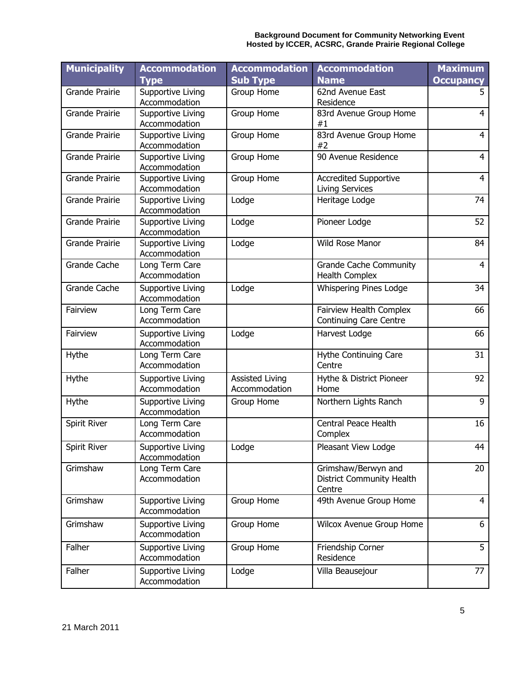| <b>Municipality</b>   | <b>Accommodation</b><br><b>Type</b> | <b>Accommodation</b><br><b>Sub Type</b> | <b>Accommodation</b><br><b>Name</b>                        | <b>Maximum</b><br><b>Occupancy</b> |
|-----------------------|-------------------------------------|-----------------------------------------|------------------------------------------------------------|------------------------------------|
| <b>Grande Prairie</b> | Supportive Living<br>Accommodation  | Group Home                              | 62nd Avenue East<br>Residence                              | 5                                  |
| <b>Grande Prairie</b> | Supportive Living<br>Accommodation  | Group Home                              | 83rd Avenue Group Home<br>#1                               | $\overline{4}$                     |
| <b>Grande Prairie</b> | Supportive Living<br>Accommodation  | Group Home                              | 83rd Avenue Group Home<br>#2                               | $\overline{4}$                     |
| <b>Grande Prairie</b> | Supportive Living<br>Accommodation  | Group Home                              | 90 Avenue Residence                                        | $\overline{4}$                     |
| <b>Grande Prairie</b> | Supportive Living<br>Accommodation  | Group Home                              | <b>Accredited Supportive</b><br><b>Living Services</b>     | $\overline{4}$                     |
| <b>Grande Prairie</b> | Supportive Living<br>Accommodation  | Lodge                                   | Heritage Lodge                                             | 74                                 |
| <b>Grande Prairie</b> | Supportive Living<br>Accommodation  | Lodge                                   | Pioneer Lodge                                              | 52                                 |
| <b>Grande Prairie</b> | Supportive Living<br>Accommodation  | Lodge                                   | Wild Rose Manor                                            | 84                                 |
| <b>Grande Cache</b>   | Long Term Care<br>Accommodation     |                                         | <b>Grande Cache Community</b><br><b>Health Complex</b>     | $\overline{4}$                     |
| Grande Cache          | Supportive Living<br>Accommodation  | Lodge                                   | Whispering Pines Lodge                                     | 34                                 |
| Fairview              | Long Term Care<br>Accommodation     |                                         | Fairview Health Complex<br><b>Continuing Care Centre</b>   | 66                                 |
| Fairview              | Supportive Living<br>Accommodation  | Lodge                                   | Harvest Lodge                                              | 66                                 |
| Hythe                 | Long Term Care<br>Accommodation     |                                         | Hythe Continuing Care<br>Centre                            | 31                                 |
| Hythe                 | Supportive Living<br>Accommodation  | <b>Assisted Living</b><br>Accommodation | Hythe & District Pioneer<br>Home                           | 92                                 |
| Hythe                 | Supportive Living<br>Accommodation  | Group Home                              | Northern Lights Ranch                                      | 9                                  |
| Spirit River          | Long Term Care<br>Accommodation     |                                         | Central Peace Health<br>Complex                            | 16                                 |
| Spirit River          | Supportive Living<br>Accommodation  | Lodge                                   | Pleasant View Lodge                                        | 44                                 |
| Grimshaw              | Long Term Care<br>Accommodation     |                                         | Grimshaw/Berwyn and<br>District Community Health<br>Centre | 20                                 |
| Grimshaw              | Supportive Living<br>Accommodation  | Group Home                              | 49th Avenue Group Home                                     | $\overline{4}$                     |
| Grimshaw              | Supportive Living<br>Accommodation  | Group Home                              | Wilcox Avenue Group Home                                   | 6                                  |
| Falher                | Supportive Living<br>Accommodation  | Group Home                              | Friendship Corner<br>Residence                             | 5                                  |
| Falher                | Supportive Living<br>Accommodation  | Lodge                                   | Villa Beausejour                                           | 77                                 |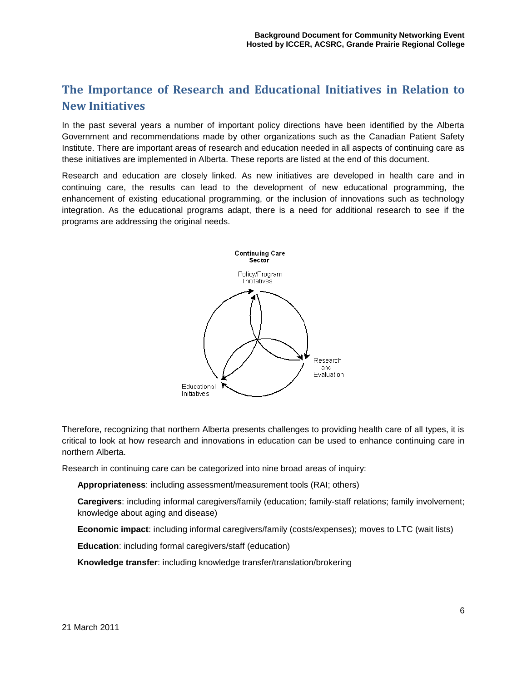## <span id="page-7-0"></span>**The Importance of Research and Educational Initiatives in Relation to New Initiatives**

In the past several years a number of important policy directions have been identified by the Alberta Government and recommendations made by other organizations such as the Canadian Patient Safety Institute. There are important areas of research and education needed in all aspects of continuing care as these initiatives are implemented in Alberta. These reports are listed at the end of this document.

Research and education are closely linked. As new initiatives are developed in health care and in continuing care, the results can lead to the development of new educational programming, the enhancement of existing educational programming, or the inclusion of innovations such as technology integration. As the educational programs adapt, there is a need for additional research to see if the programs are addressing the original needs.



Therefore, recognizing that northern Alberta presents challenges to providing health care of all types, it is critical to look at how research and innovations in education can be used to enhance continuing care in northern Alberta.

Research in continuing care can be categorized into nine broad areas of inquiry:

**Appropriateness**: including assessment/measurement tools (RAI; others)

**Caregivers**: including informal caregivers/family (education; family-staff relations; family involvement; knowledge about aging and disease)

**Economic impact**: including informal caregivers/family (costs/expenses); moves to LTC (wait lists)

**Education**: including formal caregivers/staff (education)

**Knowledge transfer**: including knowledge transfer/translation/brokering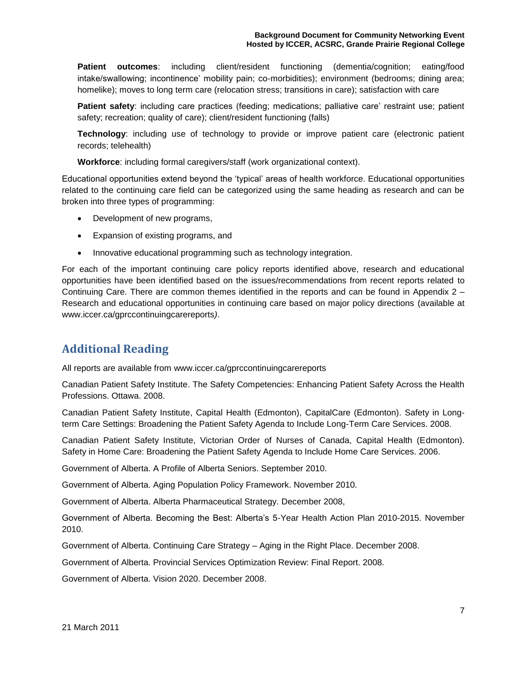**Patient outcomes**: including client/resident functioning (dementia/cognition; eating/food intake/swallowing; incontinence" mobility pain; co-morbidities); environment (bedrooms; dining area; homelike); moves to long term care (relocation stress; transitions in care); satisfaction with care

**Patient safety:** including care practices (feeding; medications; palliative care' restraint use; patient safety; recreation; quality of care); client/resident functioning (falls)

**Technology**: including use of technology to provide or improve patient care (electronic patient records; telehealth)

**Workforce**: including formal caregivers/staff (work organizational context).

Educational opportunities extend beyond the "typical" areas of health workforce. Educational opportunities related to the continuing care field can be categorized using the same heading as research and can be broken into three types of programming:

- Development of new programs,
- Expansion of existing programs, and
- Innovative educational programming such as technology integration.

For each of the important continuing care policy reports identified above, research and educational opportunities have been identified based on the issues/recommendations from recent reports related to Continuing Care. There are common themes identified in the reports and can be found in Appendix 2 – Research and educational opportunities in continuing care based on major policy directions (available at [www.iccer.ca/gprccontinuingcarereports](http://www.iccer.ca/gprccontinuingcarereports)*)*.

#### <span id="page-8-0"></span>**Additional Reading**

All reports are available from [www.iccer.ca/gprccontinuingcarereports](http://www.iccer.ca/gprccontinuingcarereports)

Canadian Patient Safety Institute. The Safety Competencies: Enhancing Patient Safety Across the Health Professions. Ottawa. 2008.

Canadian Patient Safety Institute, Capital Health (Edmonton), CapitalCare (Edmonton). Safety in Longterm Care Settings: Broadening the Patient Safety Agenda to Include Long-Term Care Services. 2008.

Canadian Patient Safety Institute, Victorian Order of Nurses of Canada, Capital Health (Edmonton). Safety in Home Care: Broadening the Patient Safety Agenda to Include Home Care Services. 2006.

Government of Alberta. A Profile of Alberta Seniors. September 2010.

Government of Alberta. Aging Population Policy Framework. November 2010.

Government of Alberta. Alberta Pharmaceutical Strategy. December 2008,

Government of Alberta. Becoming the Best: Alberta"s 5-Year Health Action Plan 2010-2015. November 2010.

Government of Alberta. Continuing Care Strategy – Aging in the Right Place. December 2008.

Government of Alberta. Provincial Services Optimization Review: Final Report. 2008.

Government of Alberta. Vision 2020. December 2008.